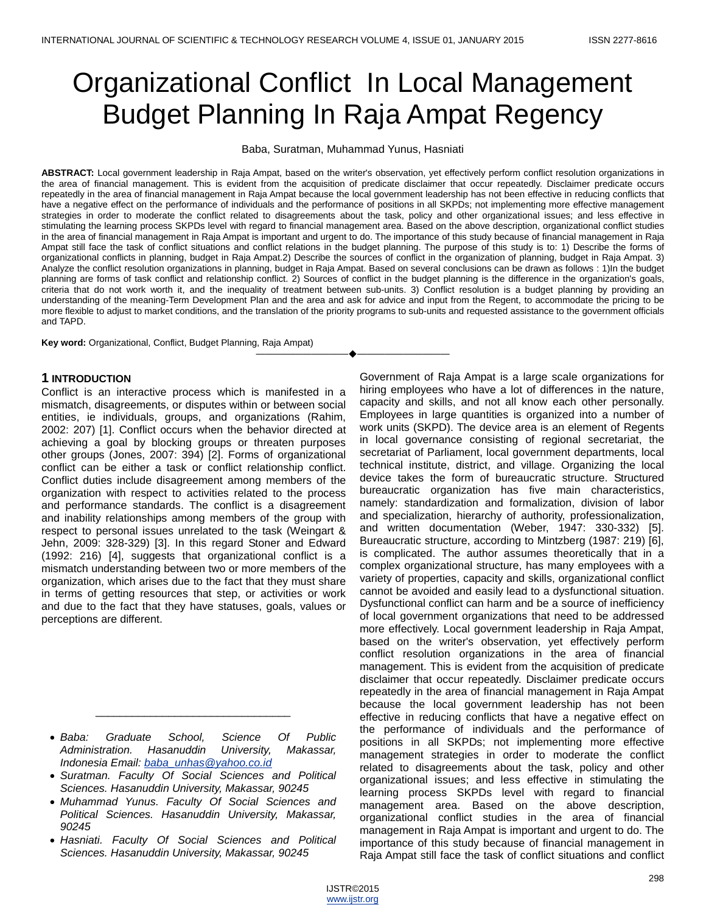# Organizational Conflict In Local Management Budget Planning In Raja Ampat Regency

Baba, Suratman, Muhammad Yunus, Hasniati

**ABSTRACT:** Local government leadership in Raja Ampat, based on the writer's observation, yet effectively perform conflict resolution organizations in the area of financial management. This is evident from the acquisition of predicate disclaimer that occur repeatedly. Disclaimer predicate occurs repeatedly in the area of financial management in Raja Ampat because the local government leadership has not been effective in reducing conflicts that have a negative effect on the performance of individuals and the performance of positions in all SKPDs; not implementing more effective management strategies in order to moderate the conflict related to disagreements about the task, policy and other organizational issues; and less effective in stimulating the learning process SKPDs level with regard to financial management area. Based on the above description, organizational conflict studies in the area of financial management in Raja Ampat is important and urgent to do. The importance of this study because of financial management in Raja Ampat still face the task of conflict situations and conflict relations in the budget planning. The purpose of this study is to: 1) Describe the forms of organizational conflicts in planning, budget in Raja Ampat.2) Describe the sources of conflict in the organization of planning, budget in Raja Ampat. 3) Analyze the conflict resolution organizations in planning, budget in Raja Ampat. Based on several conclusions can be drawn as follows : 1)In the budget planning are forms of task conflict and relationship conflict. 2) Sources of conflict in the budget planning is the difference in the organization's goals, criteria that do not work worth it, and the inequality of treatment between sub-units. 3) Conflict resolution is a budget planning by providing an understanding of the meaning-Term Development Plan and the area and ask for advice and input from the Regent, to accommodate the pricing to be more flexible to adjust to market conditions, and the translation of the priority programs to sub-units and requested assistance to the government officials and TAPD.

————————————————————

**Key word:** Organizational, Conflict, Budget Planning, Raja Ampat)

## **1 INTRODUCTION**

Conflict is an interactive process which is manifested in a mismatch, disagreements, or disputes within or between social entities, ie individuals, groups, and organizations (Rahim, 2002: 207) [1]. Conflict occurs when the behavior directed at achieving a goal by blocking groups or threaten purposes other groups (Jones, 2007: 394) [2]. Forms of organizational conflict can be either a task or conflict relationship conflict. Conflict duties include disagreement among members of the organization with respect to activities related to the process and performance standards. The conflict is a disagreement and inability relationships among members of the group with respect to personal issues unrelated to the task (Weingart & Jehn, 2009: 328-329) [3]. In this regard Stoner and Edward (1992: 216) [4], suggests that organizational conflict is a mismatch understanding between two or more members of the organization, which arises due to the fact that they must share in terms of getting resources that step, or activities or work and due to the fact that they have statuses, goals, values or perceptions are different.

 *Baba: Graduate School, Science Of Public Administration. Hasanuddin University, Makassar, Indonesia Email: [baba\\_unhas@yahoo.co.id](mailto:baba_unhas@yahoo.co.id)*

\_\_\_\_\_\_\_\_\_\_\_\_\_\_\_\_\_\_\_\_\_\_\_\_\_\_\_\_\_\_\_\_

- *Suratman. Faculty Of Social Sciences and Political Sciences. Hasanuddin University, Makassar, 90245*
- *Muhammad Yunus. Faculty Of Social Sciences and Political Sciences. Hasanuddin University, Makassar, 90245*
- *Hasniati. Faculty Of Social Sciences and Political Sciences. Hasanuddin University, Makassar, 90245*

Government of Raja Ampat is a large scale organizations for hiring employees who have a lot of differences in the nature, capacity and skills, and not all know each other personally. Employees in large quantities is organized into a number of work units (SKPD). The device area is an element of Regents in local governance consisting of regional secretariat, the secretariat of Parliament, local government departments, local technical institute, district, and village. Organizing the local device takes the form of bureaucratic structure. Structured bureaucratic organization has five main characteristics, namely: standardization and formalization, division of labor and specialization, hierarchy of authority, professionalization, and written documentation (Weber, 1947: 330-332) [5]. Bureaucratic structure, according to Mintzberg (1987: 219) [6], is complicated. The author assumes theoretically that in a complex organizational structure, has many employees with a variety of properties, capacity and skills, organizational conflict cannot be avoided and easily lead to a dysfunctional situation. Dysfunctional conflict can harm and be a source of inefficiency of local government organizations that need to be addressed more effectively. Local government leadership in Raja Ampat, based on the writer's observation, yet effectively perform conflict resolution organizations in the area of financial management. This is evident from the acquisition of predicate disclaimer that occur repeatedly. Disclaimer predicate occurs repeatedly in the area of financial management in Raja Ampat because the local government leadership has not been effective in reducing conflicts that have a negative effect on the performance of individuals and the performance of positions in all SKPDs; not implementing more effective management strategies in order to moderate the conflict related to disagreements about the task, policy and other organizational issues; and less effective in stimulating the learning process SKPDs level with regard to financial management area. Based on the above description, organizational conflict studies in the area of financial management in Raja Ampat is important and urgent to do. The importance of this study because of financial management in Raja Ampat still face the task of conflict situations and conflict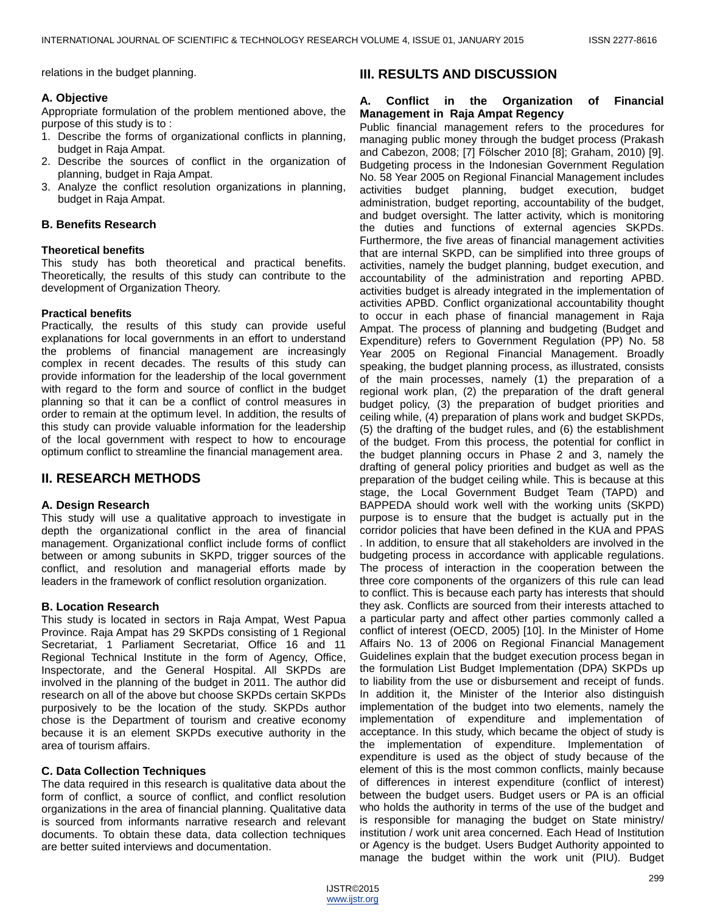relations in the budget planning.

## **A. Objective**

Appropriate formulation of the problem mentioned above, the purpose of this study is to :

- 1. Describe the forms of organizational conflicts in planning, budget in Raja Ampat.
- 2. Describe the sources of conflict in the organization of planning, budget in Raja Ampat.
- 3. Analyze the conflict resolution organizations in planning, budget in Raja Ampat.

## **B. Benefits Research**

## **Theoretical benefits**

This study has both theoretical and practical benefits. Theoretically, the results of this study can contribute to the development of Organization Theory.

## **Practical benefits**

Practically, the results of this study can provide useful explanations for local governments in an effort to understand the problems of financial management are increasingly complex in recent decades. The results of this study can provide information for the leadership of the local government with regard to the form and source of conflict in the budget planning so that it can be a conflict of control measures in order to remain at the optimum level. In addition, the results of this study can provide valuable information for the leadership of the local government with respect to how to encourage optimum conflict to streamline the financial management area.

# **II. RESEARCH METHODS**

## **A. Design Research**

This study will use a qualitative approach to investigate in depth the organizational conflict in the area of financial management. Organizational conflict include forms of conflict between or among subunits in SKPD, trigger sources of the conflict, and resolution and managerial efforts made by leaders in the framework of conflict resolution organization.

## **B. Location Research**

This study is located in sectors in Raja Ampat, West Papua Province. Raja Ampat has 29 SKPDs consisting of 1 Regional Secretariat, 1 Parliament Secretariat, Office 16 and 11 Regional Technical Institute in the form of Agency, Office, Inspectorate, and the General Hospital. All SKPDs are involved in the planning of the budget in 2011. The author did research on all of the above but choose SKPDs certain SKPDs purposively to be the location of the study. SKPDs author chose is the Department of tourism and creative economy because it is an element SKPDs executive authority in the area of tourism affairs.

## **C. Data Collection Techniques**

The data required in this research is qualitative data about the form of conflict, a source of conflict, and conflict resolution organizations in the area of financial planning. Qualitative data is sourced from informants narrative research and relevant documents. To obtain these data, data collection techniques are better suited interviews and documentation.

# **III. RESULTS AND DISCUSSION**

## **A. Conflict in the Organization of Financial Management in Raja Ampat Regency**

Public financial management refers to the procedures for managing public money through the budget process (Prakash and Cabezon, 2008; [7] Fӧlscher 2010 [8]; Graham, 2010) [9]. Budgeting process in the Indonesian Government Regulation No. 58 Year 2005 on Regional Financial Management includes activities budget planning, budget execution, budget administration, budget reporting, accountability of the budget, and budget oversight. The latter activity, which is monitoring the duties and functions of external agencies SKPDs. Furthermore, the five areas of financial management activities that are internal SKPD, can be simplified into three groups of activities, namely the budget planning, budget execution, and accountability of the administration and reporting APBD. activities budget is already integrated in the implementation of activities APBD. Conflict organizational accountability thought to occur in each phase of financial management in Raja Ampat. The process of planning and budgeting (Budget and Expenditure) refers to Government Regulation (PP) No. 58 Year 2005 on Regional Financial Management. Broadly speaking, the budget planning process, as illustrated, consists of the main processes, namely (1) the preparation of a regional work plan, (2) the preparation of the draft general budget policy, (3) the preparation of budget priorities and ceiling while, (4) preparation of plans work and budget SKPDs, (5) the drafting of the budget rules, and (6) the establishment of the budget. From this process, the potential for conflict in the budget planning occurs in Phase 2 and 3, namely the drafting of general policy priorities and budget as well as the preparation of the budget ceiling while. This is because at this stage, the Local Government Budget Team (TAPD) and BAPPEDA should work well with the working units (SKPD) purpose is to ensure that the budget is actually put in the corridor policies that have been defined in the KUA and PPAS . In addition, to ensure that all stakeholders are involved in the budgeting process in accordance with applicable regulations. The process of interaction in the cooperation between the three core components of the organizers of this rule can lead to conflict. This is because each party has interests that should they ask. Conflicts are sourced from their interests attached to a particular party and affect other parties commonly called a conflict of interest (OECD, 2005) [10]. In the Minister of Home Affairs No. 13 of 2006 on Regional Financial Management Guidelines explain that the budget execution process began in the formulation List Budget Implementation (DPA) SKPDs up to liability from the use or disbursement and receipt of funds. In addition it, the Minister of the Interior also distinguish implementation of the budget into two elements, namely the implementation of expenditure and implementation of acceptance. In this study, which became the object of study is the implementation of expenditure. Implementation of expenditure is used as the object of study because of the element of this is the most common conflicts, mainly because of differences in interest expenditure (conflict of interest) between the budget users. Budget users or PA is an official who holds the authority in terms of the use of the budget and is responsible for managing the budget on State ministry/ institution / work unit area concerned. Each Head of Institution or Agency is the budget. Users Budget Authority appointed to manage the budget within the work unit (PIU). Budget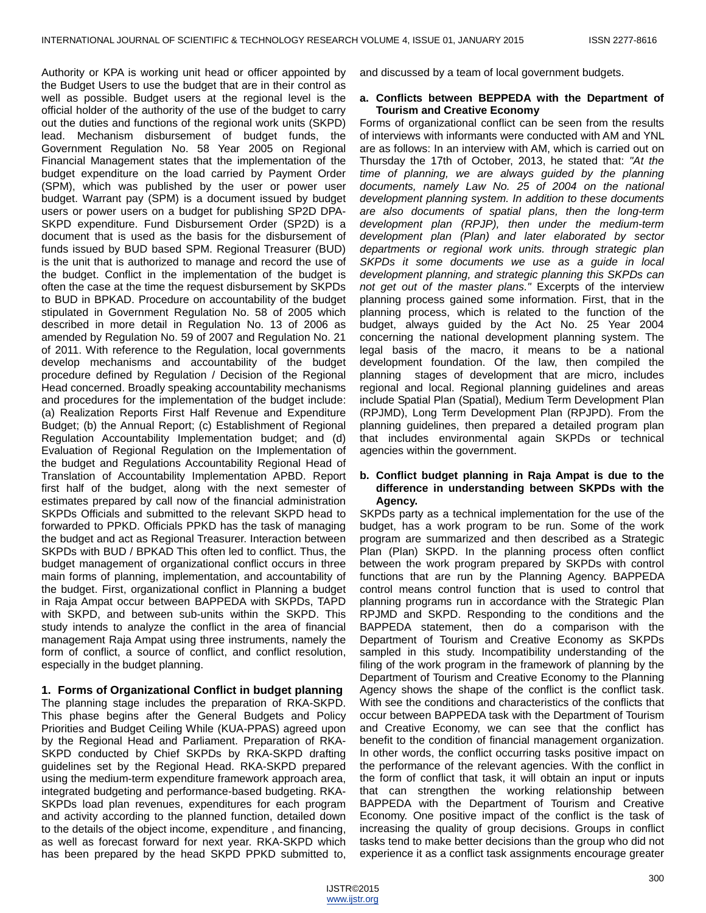Authority or KPA is working unit head or officer appointed by the Budget Users to use the budget that are in their control as well as possible. Budget users at the regional level is the official holder of the authority of the use of the budget to carry out the duties and functions of the regional work units (SKPD) lead. Mechanism disbursement of budget funds, the Government Regulation No. 58 Year 2005 on Regional Financial Management states that the implementation of the budget expenditure on the load carried by Payment Order (SPM), which was published by the user or power user budget. Warrant pay (SPM) is a document issued by budget users or power users on a budget for publishing SP2D DPA-SKPD expenditure. Fund Disbursement Order (SP2D) is a document that is used as the basis for the disbursement of funds issued by BUD based SPM. Regional Treasurer (BUD) is the unit that is authorized to manage and record the use of the budget. Conflict in the implementation of the budget is often the case at the time the request disbursement by SKPDs to BUD in BPKAD. Procedure on accountability of the budget stipulated in Government Regulation No. 58 of 2005 which described in more detail in Regulation No. 13 of 2006 as amended by Regulation No. 59 of 2007 and Regulation No. 21 of 2011. With reference to the Regulation, local governments develop mechanisms and accountability of the budget procedure defined by Regulation / Decision of the Regional Head concerned. Broadly speaking accountability mechanisms and procedures for the implementation of the budget include: (a) Realization Reports First Half Revenue and Expenditure Budget; (b) the Annual Report; (c) Establishment of Regional Regulation Accountability Implementation budget; and (d) Evaluation of Regional Regulation on the Implementation of the budget and Regulations Accountability Regional Head of Translation of Accountability Implementation APBD. Report first half of the budget, along with the next semester of estimates prepared by call now of the financial administration SKPDs Officials and submitted to the relevant SKPD head to forwarded to PPKD. Officials PPKD has the task of managing the budget and act as Regional Treasurer. Interaction between SKPDs with BUD / BPKAD This often led to conflict. Thus, the budget management of organizational conflict occurs in three main forms of planning, implementation, and accountability of the budget. First, organizational conflict in Planning a budget in Raja Ampat occur between BAPPEDA with SKPDs, TAPD with SKPD, and between sub-units within the SKPD. This study intends to analyze the conflict in the area of financial management Raja Ampat using three instruments, namely the form of conflict, a source of conflict, and conflict resolution, especially in the budget planning.

#### **1. Forms of Organizational Conflict in budget planning**

The planning stage includes the preparation of RKA-SKPD. This phase begins after the General Budgets and Policy Priorities and Budget Ceiling While (KUA-PPAS) agreed upon by the Regional Head and Parliament. Preparation of RKA-SKPD conducted by Chief SKPDs by RKA-SKPD drafting guidelines set by the Regional Head. RKA-SKPD prepared using the medium-term expenditure framework approach area, integrated budgeting and performance-based budgeting. RKA-SKPDs load plan revenues, expenditures for each program and activity according to the planned function, detailed down to the details of the object income, expenditure , and financing, as well as forecast forward for next year. RKA-SKPD which has been prepared by the head SKPD PPKD submitted to,

and discussed by a team of local government budgets.

#### **a. Conflicts between BEPPEDA with the Department of Tourism and Creative Economy**

Forms of organizational conflict can be seen from the results of interviews with informants were conducted with AM and YNL are as follows: In an interview with AM, which is carried out on Thursday the 17th of October, 2013, he stated that: *"At the time of planning, we are always guided by the planning documents, namely Law No. 25 of 2004 on the national development planning system. In addition to these documents are also documents of spatial plans, then the long-term development plan (RPJP), then under the medium-term development plan (Plan) and later elaborated by sector departments or regional work units. through strategic plan SKPDs it some documents we use as a guide in local development planning, and strategic planning this SKPDs can not get out of the master plans."* Excerpts of the interview planning process gained some information. First, that in the planning process, which is related to the function of the budget, always guided by the Act No. 25 Year 2004 concerning the national development planning system. The legal basis of the macro, it means to be a national development foundation. Of the law, then compiled the planning stages of development that are micro, includes regional and local. Regional planning guidelines and areas include Spatial Plan (Spatial), Medium Term Development Plan (RPJMD), Long Term Development Plan (RPJPD). From the planning guidelines, then prepared a detailed program plan that includes environmental again SKPDs or technical agencies within the government.

#### **b. Conflict budget planning in Raja Ampat is due to the difference in understanding between SKPDs with the Agency.**

SKPDs party as a technical implementation for the use of the budget, has a work program to be run. Some of the work program are summarized and then described as a Strategic Plan (Plan) SKPD. In the planning process often conflict between the work program prepared by SKPDs with control functions that are run by the Planning Agency. BAPPEDA control means control function that is used to control that planning programs run in accordance with the Strategic Plan RPJMD and SKPD. Responding to the conditions and the BAPPEDA statement, then do a comparison with the Department of Tourism and Creative Economy as SKPDs sampled in this study. Incompatibility understanding of the filing of the work program in the framework of planning by the Department of Tourism and Creative Economy to the Planning Agency shows the shape of the conflict is the conflict task. With see the conditions and characteristics of the conflicts that occur between BAPPEDA task with the Department of Tourism and Creative Economy, we can see that the conflict has benefit to the condition of financial management organization. In other words, the conflict occurring tasks positive impact on the performance of the relevant agencies. With the conflict in the form of conflict that task, it will obtain an input or inputs that can strengthen the working relationship between BAPPEDA with the Department of Tourism and Creative Economy. One positive impact of the conflict is the task of increasing the quality of group decisions. Groups in conflict tasks tend to make better decisions than the group who did not experience it as a conflict task assignments encourage greater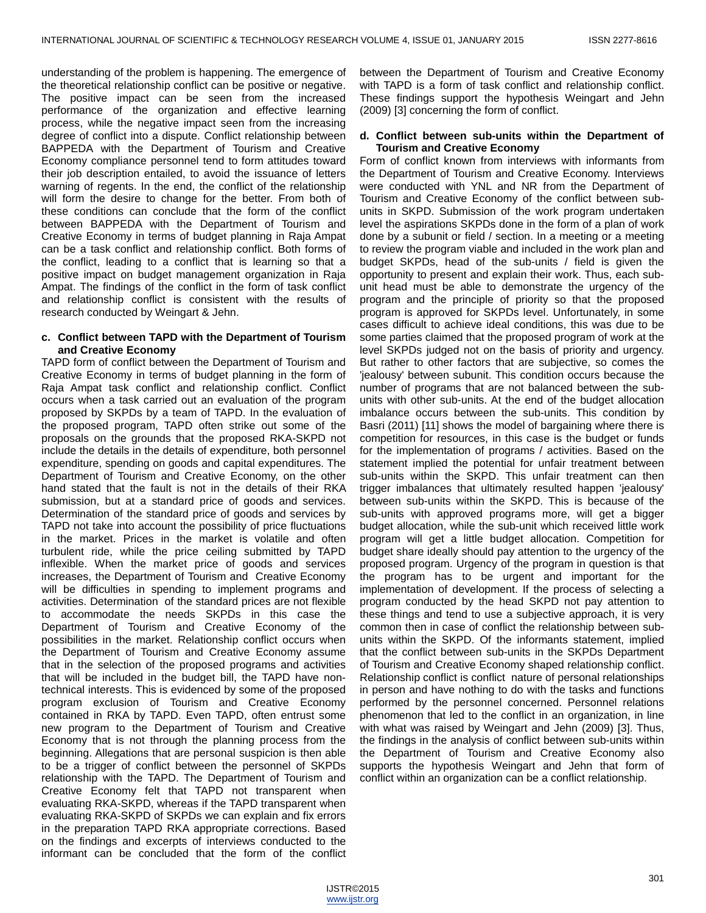understanding of the problem is happening. The emergence of the theoretical relationship conflict can be positive or negative. The positive impact can be seen from the increased performance of the organization and effective learning process, while the negative impact seen from the increasing degree of conflict into a dispute. Conflict relationship between BAPPEDA with the Department of Tourism and Creative Economy compliance personnel tend to form attitudes toward their job description entailed, to avoid the issuance of letters warning of regents. In the end, the conflict of the relationship will form the desire to change for the better. From both of these conditions can conclude that the form of the conflict between BAPPEDA with the Department of Tourism and Creative Economy in terms of budget planning in Raja Ampat can be a task conflict and relationship conflict. Both forms of the conflict, leading to a conflict that is learning so that a positive impact on budget management organization in Raja Ampat. The findings of the conflict in the form of task conflict and relationship conflict is consistent with the results of research conducted by Weingart & Jehn.

#### **c. Conflict between TAPD with the Department of Tourism and Creative Economy**

TAPD form of conflict between the Department of Tourism and Creative Economy in terms of budget planning in the form of Raja Ampat task conflict and relationship conflict. Conflict occurs when a task carried out an evaluation of the program proposed by SKPDs by a team of TAPD. In the evaluation of the proposed program, TAPD often strike out some of the proposals on the grounds that the proposed RKA-SKPD not include the details in the details of expenditure, both personnel expenditure, spending on goods and capital expenditures. The Department of Tourism and Creative Economy, on the other hand stated that the fault is not in the details of their RKA submission, but at a standard price of goods and services. Determination of the standard price of goods and services by TAPD not take into account the possibility of price fluctuations in the market. Prices in the market is volatile and often turbulent ride, while the price ceiling submitted by TAPD inflexible. When the market price of goods and services increases, the Department of Tourism and Creative Economy will be difficulties in spending to implement programs and activities. Determination of the standard prices are not flexible to accommodate the needs SKPDs in this case the Department of Tourism and Creative Economy of the possibilities in the market. Relationship conflict occurs when the Department of Tourism and Creative Economy assume that in the selection of the proposed programs and activities that will be included in the budget bill, the TAPD have nontechnical interests. This is evidenced by some of the proposed program exclusion of Tourism and Creative Economy contained in RKA by TAPD. Even TAPD, often entrust some new program to the Department of Tourism and Creative Economy that is not through the planning process from the beginning. Allegations that are personal suspicion is then able to be a trigger of conflict between the personnel of SKPDs relationship with the TAPD. The Department of Tourism and Creative Economy felt that TAPD not transparent when evaluating RKA-SKPD, whereas if the TAPD transparent when evaluating RKA-SKPD of SKPDs we can explain and fix errors in the preparation TAPD RKA appropriate corrections. Based on the findings and excerpts of interviews conducted to the informant can be concluded that the form of the conflict

between the Department of Tourism and Creative Economy with TAPD is a form of task conflict and relationship conflict. These findings support the hypothesis Weingart and Jehn (2009) [3] concerning the form of conflict.

#### **d. Conflict between sub-units within the Department of Tourism and Creative Economy**

Form of conflict known from interviews with informants from the Department of Tourism and Creative Economy. Interviews were conducted with YNL and NR from the Department of Tourism and Creative Economy of the conflict between subunits in SKPD. Submission of the work program undertaken level the aspirations SKPDs done in the form of a plan of work done by a subunit or field / section. In a meeting or a meeting to review the program viable and included in the work plan and budget SKPDs, head of the sub-units / field is given the opportunity to present and explain their work. Thus, each subunit head must be able to demonstrate the urgency of the program and the principle of priority so that the proposed program is approved for SKPDs level. Unfortunately, in some cases difficult to achieve ideal conditions, this was due to be some parties claimed that the proposed program of work at the level SKPDs judged not on the basis of priority and urgency. But rather to other factors that are subjective, so comes the 'jealousy' between subunit. This condition occurs because the number of programs that are not balanced between the subunits with other sub-units. At the end of the budget allocation imbalance occurs between the sub-units. This condition by Basri (2011) [11] shows the model of bargaining where there is competition for resources, in this case is the budget or funds for the implementation of programs / activities. Based on the statement implied the potential for unfair treatment between sub-units within the SKPD. This unfair treatment can then trigger imbalances that ultimately resulted happen 'jealousy' between sub-units within the SKPD. This is because of the sub-units with approved programs more, will get a bigger budget allocation, while the sub-unit which received little work program will get a little budget allocation. Competition for budget share ideally should pay attention to the urgency of the proposed program. Urgency of the program in question is that the program has to be urgent and important for the implementation of development. If the process of selecting a program conducted by the head SKPD not pay attention to these things and tend to use a subjective approach, it is very common then in case of conflict the relationship between subunits within the SKPD. Of the informants statement, implied that the conflict between sub-units in the SKPDs Department of Tourism and Creative Economy shaped relationship conflict. Relationship conflict is conflict nature of personal relationships in person and have nothing to do with the tasks and functions performed by the personnel concerned. Personnel relations phenomenon that led to the conflict in an organization, in line with what was raised by Weingart and Jehn (2009) [3]. Thus, the findings in the analysis of conflict between sub-units within the Department of Tourism and Creative Economy also supports the hypothesis Weingart and Jehn that form of conflict within an organization can be a conflict relationship.

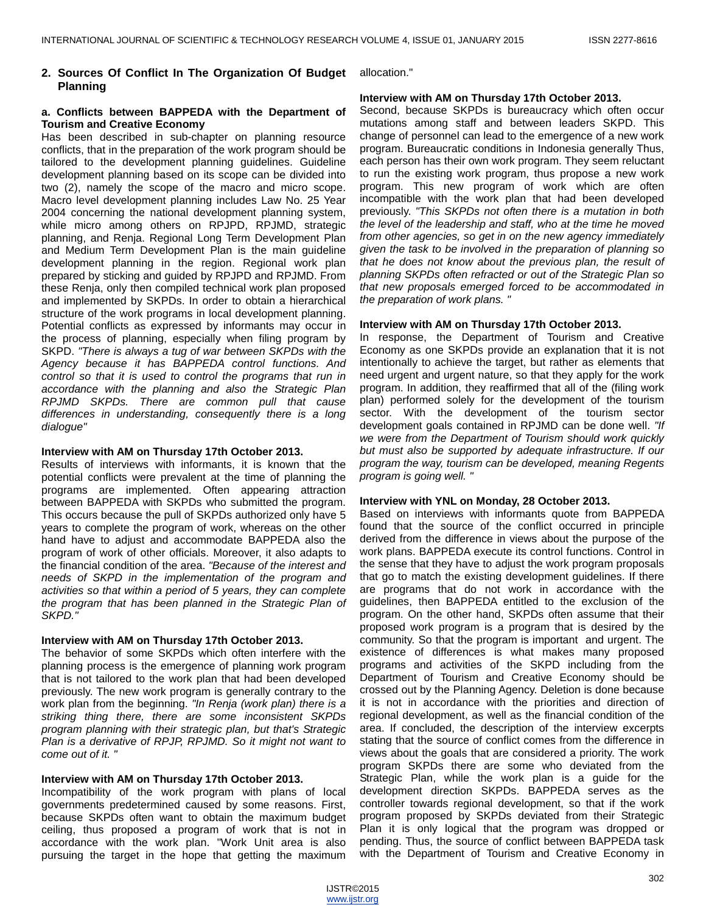## **2. Sources Of Conflict In The Organization Of Budget** allocation." **Planning**

## **a. Conflicts between BAPPEDA with the Department of Tourism and Creative Economy**

Has been described in sub-chapter on planning resource conflicts, that in the preparation of the work program should be tailored to the development planning guidelines. Guideline development planning based on its scope can be divided into two (2), namely the scope of the macro and micro scope. Macro level development planning includes Law No. 25 Year 2004 concerning the national development planning system, while micro among others on RPJPD, RPJMD, strategic planning, and Renja. Regional Long Term Development Plan and Medium Term Development Plan is the main guideline development planning in the region. Regional work plan prepared by sticking and guided by RPJPD and RPJMD. From these Renja, only then compiled technical work plan proposed and implemented by SKPDs. In order to obtain a hierarchical structure of the work programs in local development planning. Potential conflicts as expressed by informants may occur in the process of planning, especially when filing program by SKPD. *"There is always a tug of war between SKPDs with the Agency because it has BAPPEDA control functions. And control so that it is used to control the programs that run in accordance with the planning and also the Strategic Plan RPJMD SKPDs. There are common pull that cause differences in understanding, consequently there is a long dialogue"*

## **Interview with AM on Thursday 17th October 2013.**

Results of interviews with informants, it is known that the potential conflicts were prevalent at the time of planning the programs are implemented. Often appearing attraction between BAPPEDA with SKPDs who submitted the program. This occurs because the pull of SKPDs authorized only have 5 years to complete the program of work, whereas on the other hand have to adjust and accommodate BAPPEDA also the program of work of other officials. Moreover, it also adapts to the financial condition of the area. *"Because of the interest and needs of SKPD in the implementation of the program and activities so that within a period of 5 years, they can complete the program that has been planned in the Strategic Plan of SKPD."*

## **Interview with AM on Thursday 17th October 2013.**

The behavior of some SKPDs which often interfere with the planning process is the emergence of planning work program that is not tailored to the work plan that had been developed previously. The new work program is generally contrary to the work plan from the beginning. *"In Renja (work plan) there is a striking thing there, there are some inconsistent SKPDs program planning with their strategic plan, but that's Strategic Plan is a derivative of RPJP, RPJMD. So it might not want to come out of it. "*

## **Interview with AM on Thursday 17th October 2013.**

Incompatibility of the work program with plans of local governments predetermined caused by some reasons. First, because SKPDs often want to obtain the maximum budget ceiling, thus proposed a program of work that is not in accordance with the work plan. "Work Unit area is also pursuing the target in the hope that getting the maximum

## **Interview with AM on Thursday 17th October 2013.**

Second, because SKPDs is bureaucracy which often occur mutations among staff and between leaders SKPD. This change of personnel can lead to the emergence of a new work program. Bureaucratic conditions in Indonesia generally Thus, each person has their own work program. They seem reluctant to run the existing work program, thus propose a new work program. This new program of work which are often incompatible with the work plan that had been developed previously. *"This SKPDs not often there is a mutation in both the level of the leadership and staff, who at the time he moved from other agencies, so get in on the new agency immediately given the task to be involved in the preparation of planning so that he does not know about the previous plan, the result of planning SKPDs often refracted or out of the Strategic Plan so that new proposals emerged forced to be accommodated in the preparation of work plans. "*

## **Interview with AM on Thursday 17th October 2013.**

In response, the Department of Tourism and Creative Economy as one SKPDs provide an explanation that it is not intentionally to achieve the target, but rather as elements that need urgent and urgent nature, so that they apply for the work program. In addition, they reaffirmed that all of the (filing work plan) performed solely for the development of the tourism sector. With the development of the tourism sector development goals contained in RPJMD can be done well. *"If we were from the Department of Tourism should work quickly but must also be supported by adequate infrastructure. If our program the way, tourism can be developed, meaning Regents program is going well. "*

## **Interview with YNL on Monday, 28 October 2013.**

Based on interviews with informants quote from BAPPEDA found that the source of the conflict occurred in principle derived from the difference in views about the purpose of the work plans. BAPPEDA execute its control functions. Control in the sense that they have to adjust the work program proposals that go to match the existing development guidelines. If there are programs that do not work in accordance with the guidelines, then BAPPEDA entitled to the exclusion of the program. On the other hand, SKPDs often assume that their proposed work program is a program that is desired by the community. So that the program is important and urgent. The existence of differences is what makes many proposed programs and activities of the SKPD including from the Department of Tourism and Creative Economy should be crossed out by the Planning Agency. Deletion is done because it is not in accordance with the priorities and direction of regional development, as well as the financial condition of the area. If concluded, the description of the interview excerpts stating that the source of conflict comes from the difference in views about the goals that are considered a priority. The work program SKPDs there are some who deviated from the Strategic Plan, while the work plan is a guide for the development direction SKPDs. BAPPEDA serves as the controller towards regional development, so that if the work program proposed by SKPDs deviated from their Strategic Plan it is only logical that the program was dropped or pending. Thus, the source of conflict between BAPPEDA task with the Department of Tourism and Creative Economy in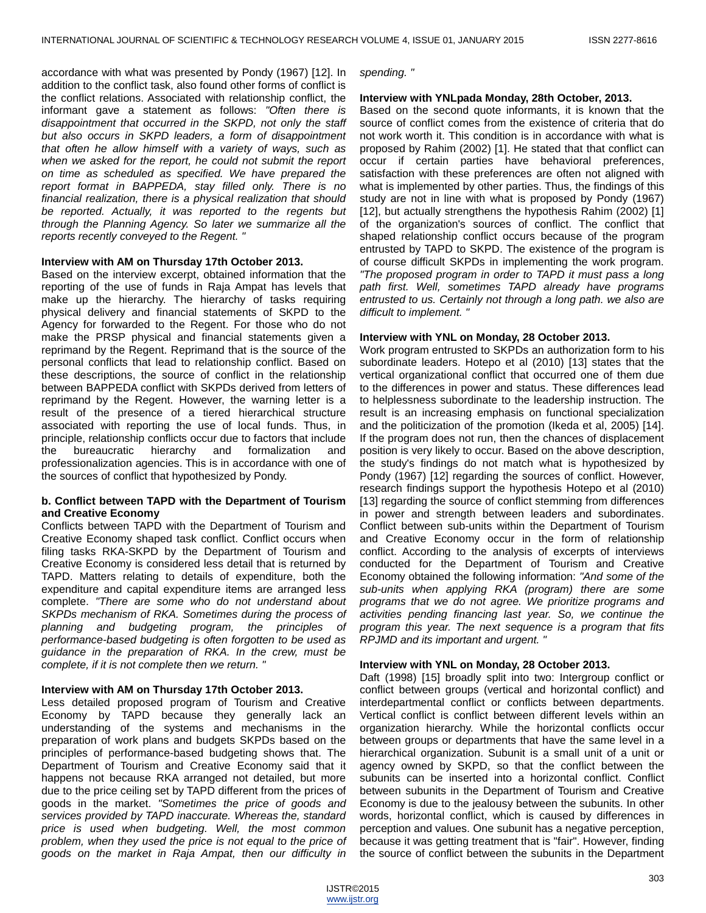accordance with what was presented by Pondy (1967) [12]. In addition to the conflict task, also found other forms of conflict is the conflict relations. Associated with relationship conflict, the informant gave a statement as follows: *"Often there is disappointment that occurred in the SKPD, not only the staff but also occurs in SKPD leaders, a form of disappointment that often he allow himself with a variety of ways, such as when we asked for the report, he could not submit the report on time as scheduled as specified. We have prepared the report format in BAPPEDA, stay filled only. There is no financial realization, there is a physical realization that should be reported. Actually, it was reported to the regents but through the Planning Agency. So later we summarize all the reports recently conveyed to the Regent. "*

#### **Interview with AM on Thursday 17th October 2013.**

Based on the interview excerpt, obtained information that the reporting of the use of funds in Raja Ampat has levels that make up the hierarchy. The hierarchy of tasks requiring physical delivery and financial statements of SKPD to the Agency for forwarded to the Regent. For those who do not make the PRSP physical and financial statements given a reprimand by the Regent. Reprimand that is the source of the personal conflicts that lead to relationship conflict. Based on these descriptions, the source of conflict in the relationship between BAPPEDA conflict with SKPDs derived from letters of reprimand by the Regent. However, the warning letter is a result of the presence of a tiered hierarchical structure associated with reporting the use of local funds. Thus, in principle, relationship conflicts occur due to factors that include the bureaucratic hierarchy and formalization and professionalization agencies. This is in accordance with one of the sources of conflict that hypothesized by Pondy.

## **b. Conflict between TAPD with the Department of Tourism and Creative Economy**

Conflicts between TAPD with the Department of Tourism and Creative Economy shaped task conflict. Conflict occurs when filing tasks RKA-SKPD by the Department of Tourism and Creative Economy is considered less detail that is returned by TAPD. Matters relating to details of expenditure, both the expenditure and capital expenditure items are arranged less complete. *"There are some who do not understand about SKPDs mechanism of RKA. Sometimes during the process of planning and budgeting program, the principles of performance-based budgeting is often forgotten to be used as guidance in the preparation of RKA. In the crew, must be complete, if it is not complete then we return. "*

## **Interview with AM on Thursday 17th October 2013.**

Less detailed proposed program of Tourism and Creative Economy by TAPD because they generally lack an understanding of the systems and mechanisms in the preparation of work plans and budgets SKPDs based on the principles of performance-based budgeting shows that. The Department of Tourism and Creative Economy said that it happens not because RKA arranged not detailed, but more due to the price ceiling set by TAPD different from the prices of goods in the market. *"Sometimes the price of goods and services provided by TAPD inaccurate. Whereas the, standard price is used when budgeting. Well, the most common problem, when they used the price is not equal to the price of goods on the market in Raja Ampat, then our difficulty in*

*spending. "*

## **Interview with YNLpada Monday, 28th October, 2013.**

Based on the second quote informants, it is known that the source of conflict comes from the existence of criteria that do not work worth it. This condition is in accordance with what is proposed by Rahim (2002) [1]. He stated that that conflict can occur if certain parties have behavioral preferences, satisfaction with these preferences are often not aligned with what is implemented by other parties. Thus, the findings of this study are not in line with what is proposed by Pondy (1967) [12], but actually strengthens the hypothesis Rahim (2002) [1] of the organization's sources of conflict. The conflict that shaped relationship conflict occurs because of the program entrusted by TAPD to SKPD. The existence of the program is of course difficult SKPDs in implementing the work program. *"The proposed program in order to TAPD it must pass a long path first. Well, sometimes TAPD already have programs entrusted to us. Certainly not through a long path. we also are difficult to implement. "*

#### **Interview with YNL on Monday, 28 October 2013.**

Work program entrusted to SKPDs an authorization form to his subordinate leaders. Hotepo et al (2010) [13] states that the vertical organizational conflict that occurred one of them due to the differences in power and status. These differences lead to helplessness subordinate to the leadership instruction. The result is an increasing emphasis on functional specialization and the politicization of the promotion (Ikeda et al, 2005) [14]. If the program does not run, then the chances of displacement position is very likely to occur. Based on the above description, the study's findings do not match what is hypothesized by Pondy (1967) [12] regarding the sources of conflict. However, research findings support the hypothesis Hotepo et al (2010) [13] regarding the source of conflict stemming from differences in power and strength between leaders and subordinates. Conflict between sub-units within the Department of Tourism and Creative Economy occur in the form of relationship conflict. According to the analysis of excerpts of interviews conducted for the Department of Tourism and Creative Economy obtained the following information: *"And some of the sub-units when applying RKA (program) there are some programs that we do not agree. We prioritize programs and activities pending financing last year. So, we continue the program this year. The next sequence is a program that fits RPJMD and its important and urgent. "*

## **Interview with YNL on Monday, 28 October 2013.**

Daft (1998) [15] broadly split into two: Intergroup conflict or conflict between groups (vertical and horizontal conflict) and interdepartmental conflict or conflicts between departments. Vertical conflict is conflict between different levels within an organization hierarchy. While the horizontal conflicts occur between groups or departments that have the same level in a hierarchical organization. Subunit is a small unit of a unit or agency owned by SKPD, so that the conflict between the subunits can be inserted into a horizontal conflict. Conflict between subunits in the Department of Tourism and Creative Economy is due to the jealousy between the subunits. In other words, horizontal conflict, which is caused by differences in perception and values. One subunit has a negative perception, because it was getting treatment that is "fair". However, finding the source of conflict between the subunits in the Department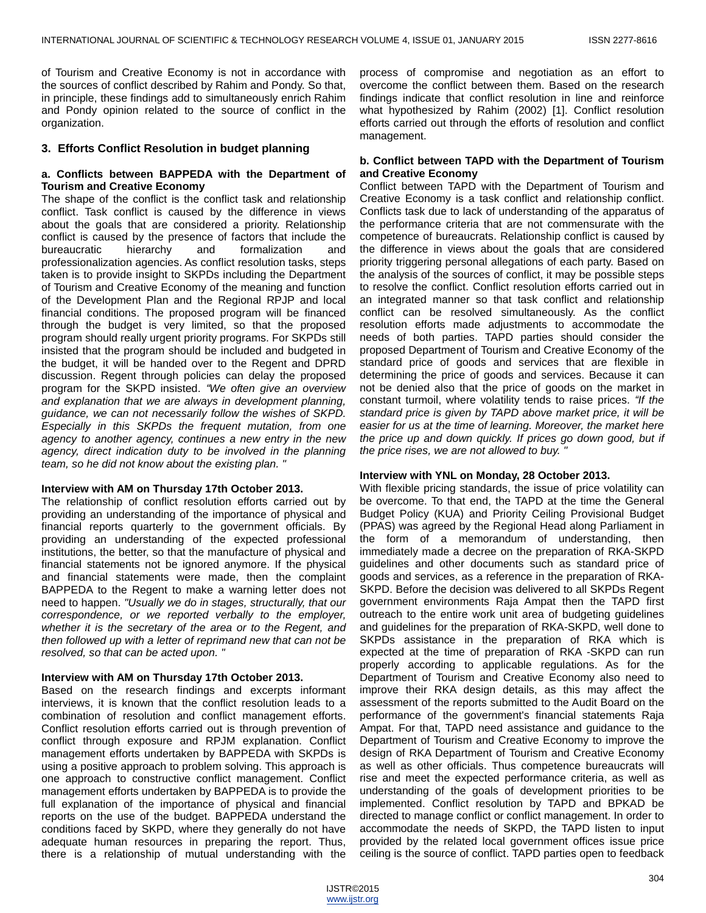of Tourism and Creative Economy is not in accordance with the sources of conflict described by Rahim and Pondy. So that, in principle, these findings add to simultaneously enrich Rahim and Pondy opinion related to the source of conflict in the organization.

#### **3. Efforts Conflict Resolution in budget planning**

#### **a. Conflicts between BAPPEDA with the Department of Tourism and Creative Economy**

The shape of the conflict is the conflict task and relationship conflict. Task conflict is caused by the difference in views about the goals that are considered a priority. Relationship conflict is caused by the presence of factors that include the bureaucratic hierarchy and formalization and professionalization agencies. As conflict resolution tasks, steps taken is to provide insight to SKPDs including the Department of Tourism and Creative Economy of the meaning and function of the Development Plan and the Regional RPJP and local financial conditions. The proposed program will be financed through the budget is very limited, so that the proposed program should really urgent priority programs. For SKPDs still insisted that the program should be included and budgeted in the budget, it will be handed over to the Regent and DPRD discussion. Regent through policies can delay the proposed program for the SKPD insisted. *"We often give an overview and explanation that we are always in development planning, guidance, we can not necessarily follow the wishes of SKPD. Especially in this SKPDs the frequent mutation, from one agency to another agency, continues a new entry in the new agency, direct indication duty to be involved in the planning team, so he did not know about the existing plan. "*

#### **Interview with AM on Thursday 17th October 2013.**

The relationship of conflict resolution efforts carried out by providing an understanding of the importance of physical and financial reports quarterly to the government officials. By providing an understanding of the expected professional institutions, the better, so that the manufacture of physical and financial statements not be ignored anymore. If the physical and financial statements were made, then the complaint BAPPEDA to the Regent to make a warning letter does not need to happen. *"Usually we do in stages, structurally, that our correspondence, or we reported verbally to the employer, whether it is the secretary of the area or to the Regent, and then followed up with a letter of reprimand new that can not be resolved, so that can be acted upon. "*

#### **Interview with AM on Thursday 17th October 2013.**

Based on the research findings and excerpts informant interviews, it is known that the conflict resolution leads to a combination of resolution and conflict management efforts. Conflict resolution efforts carried out is through prevention of conflict through exposure and RPJM explanation. Conflict management efforts undertaken by BAPPEDA with SKPDs is using a positive approach to problem solving. This approach is one approach to constructive conflict management. Conflict management efforts undertaken by BAPPEDA is to provide the full explanation of the importance of physical and financial reports on the use of the budget. BAPPEDA understand the conditions faced by SKPD, where they generally do not have adequate human resources in preparing the report. Thus, there is a relationship of mutual understanding with the

process of compromise and negotiation as an effort to overcome the conflict between them. Based on the research findings indicate that conflict resolution in line and reinforce what hypothesized by Rahim (2002) [1]. Conflict resolution efforts carried out through the efforts of resolution and conflict management.

## **b. Conflict between TAPD with the Department of Tourism and Creative Economy**

Conflict between TAPD with the Department of Tourism and Creative Economy is a task conflict and relationship conflict. Conflicts task due to lack of understanding of the apparatus of the performance criteria that are not commensurate with the competence of bureaucrats. Relationship conflict is caused by the difference in views about the goals that are considered priority triggering personal allegations of each party. Based on the analysis of the sources of conflict, it may be possible steps to resolve the conflict. Conflict resolution efforts carried out in an integrated manner so that task conflict and relationship conflict can be resolved simultaneously. As the conflict resolution efforts made adjustments to accommodate the needs of both parties. TAPD parties should consider the proposed Department of Tourism and Creative Economy of the standard price of goods and services that are flexible in determining the price of goods and services. Because it can not be denied also that the price of goods on the market in constant turmoil, where volatility tends to raise prices. *"If the standard price is given by TAPD above market price, it will be easier for us at the time of learning. Moreover, the market here the price up and down quickly. If prices go down good, but if the price rises, we are not allowed to buy. "*

#### **Interview with YNL on Monday, 28 October 2013.**

With flexible pricing standards, the issue of price volatility can be overcome. To that end, the TAPD at the time the General Budget Policy (KUA) and Priority Ceiling Provisional Budget (PPAS) was agreed by the Regional Head along Parliament in the form of a memorandum of understanding, then immediately made a decree on the preparation of RKA-SKPD guidelines and other documents such as standard price of goods and services, as a reference in the preparation of RKA-SKPD. Before the decision was delivered to all SKPDs Regent government environments Raja Ampat then the TAPD first outreach to the entire work unit area of budgeting guidelines and guidelines for the preparation of RKA-SKPD, well done to SKPDs assistance in the preparation of RKA which is expected at the time of preparation of RKA -SKPD can run properly according to applicable regulations. As for the Department of Tourism and Creative Economy also need to improve their RKA design details, as this may affect the assessment of the reports submitted to the Audit Board on the performance of the government's financial statements Raja Ampat. For that, TAPD need assistance and guidance to the Department of Tourism and Creative Economy to improve the design of RKA Department of Tourism and Creative Economy as well as other officials. Thus competence bureaucrats will rise and meet the expected performance criteria, as well as understanding of the goals of development priorities to be implemented. Conflict resolution by TAPD and BPKAD be directed to manage conflict or conflict management. In order to accommodate the needs of SKPD, the TAPD listen to input provided by the related local government offices issue price ceiling is the source of conflict. TAPD parties open to feedback